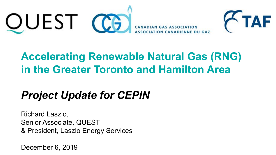



## **Accelerating Renewable Natural Gas (RNG) in the Greater Toronto and Hamilton Area**

## *Project Update for CEPIN*

Richard Laszlo, Senior Associate, QUEST & President, Laszlo Energy Services

December 6, 2019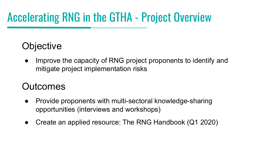# Accelerating RNG in the GTHA - Project Overview

### **Objective**

Improve the capacity of RNG project proponents to identify and mitigate project implementation risks

#### **Outcomes**

- Provide proponents with multi-sectoral knowledge-sharing opportunities (interviews and workshops)
- Create an applied resource: The RNG Handbook (Q1 2020)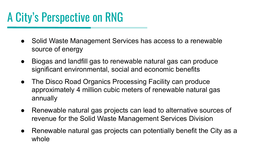# A City's Perspective on RNG

- Solid Waste Management Services has access to a renewable source of energy
- Biogas and landfill gas to renewable natural gas can produce significant environmental, social and economic benefits
- The Disco Road Organics Processing Facility can produce approximately 4 million cubic meters of renewable natural gas annually
- Renewable natural gas projects can lead to alternative sources of revenue for the Solid Waste Management Services Division
- Renewable natural gas projects can potentially benefit the City as a whole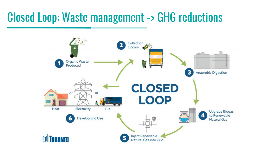## Closed Loop: Waste management -> GHG reductions

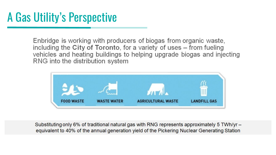# A Gas Utility's Perspective

Enbridge is working with producers of biogas from organic waste. including the City of Toronto, for a variety of uses – from fueling vehicles and heating buildings to helping upgrade biogas and injecting RNG into the distribution system



Substituting only 6% of traditional natural gas with RNG represents approximately 5 TWh/yr equivalent to 40% of the annual generation yield of the Pickering Nuclear Generating Station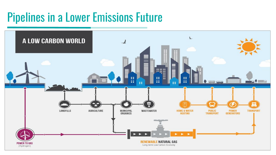# Pipelines in a Lower Emissions Future

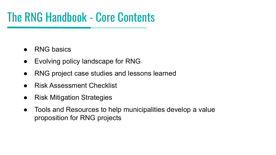# The RNG Handbook - Core Contents

- **RNG basics**
- Evolving policy landscape for RNG
- RNG project case studies and lessons learned
- **Risk Assessment Checklist**
- Risk Mitigation Strategies
- Tools and Resources to help municipalities develop a value proposition for RNG projects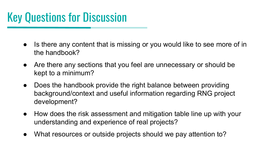# Key Questions for Discussion

- Is there any content that is missing or you would like to see more of in the handbook?
- Are there any sections that you feel are unnecessary or should be kept to a minimum?
- Does the handbook provide the right balance between providing background/context and useful information regarding RNG project development?
- How does the risk assessment and mitigation table line up with your understanding and experience of real projects?
- What resources or outside projects should we pay attention to?